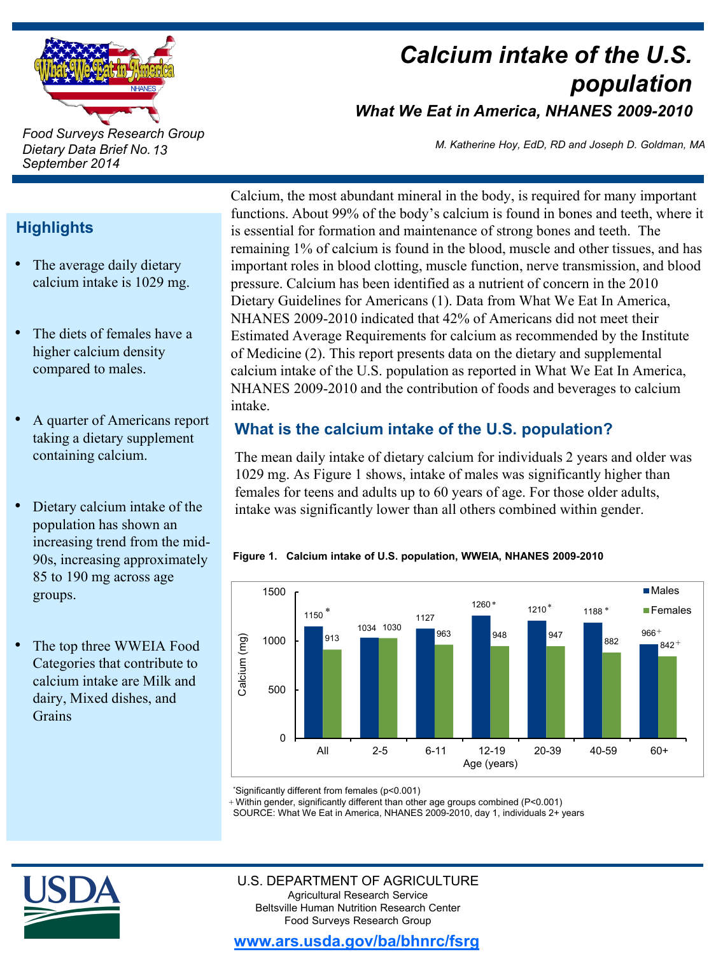

*Food Surveys Research Group Dietary Data Brief No. 13 September 2014*

# *Calcium intake of the U.S. population What We Eat in America, NHANES 2009-2010*

*M. Katherine Hoy, EdD, RD and Joseph D. Goldman, MA*

# **Highlights**

- The average daily dietary calcium intake is 1029 mg.
- The diets of females have a higher calcium density compared to males.
- A quarter of Americans report taking a dietary supplement containing calcium.
- Dietary calcium intake of the population has shown an increasing trend from the mid-90s, increasing approximately 85 to 190 mg across age groups.
- The top three WWEIA Food Categories that contribute to calcium intake are Milk and dairy, Mixed dishes, and **Grains**

Calcium, the most abundant mineral in the body, is required for many important functions. About 99% of the body's calcium is found in bones and teeth, where it is essential for formation and maintenance of strong bones and teeth. The remaining 1% of calcium is found in the blood, muscle and other tissues, and has important roles in blood clotting, muscle function, nerve transmission, and blood pressure. Calcium has been identified as a nutrient of concern in the 2010 Dietary Guidelines for Americans (1). Data from What We Eat In America, NHANES 2009-2010 indicated that 42% of Americans did not meet their Estimated Average Requirements for calcium as recommended by the Institute of Medicine (2). This report presents data on the dietary and supplemental calcium intake of the U.S. population as reported in What We Eat In America, NHANES 2009-2010 and the contribution of foods and beverages to calcium intake.

# **What is the calcium intake of the U.S. population?**

The mean daily intake of dietary calcium for individuals 2 years and older was 1029 mg. As Figure 1 shows, intake of males was significantly higher than females for teens and adults up to 60 years of age. For those older adults, intake was significantly lower than all others combined within gender.

### **Figure 1. Calcium intake of U.S. population, WWEIA, NHANES 2009-2010**



\* Significantly different from females (p<0.001)

Within gender, significantly different than other age groups combined (P<0.001) +

SOURCE: What We Eat in America, NHANES 2009-2010, day 1, individuals 2+ years



#### U.S. DEPARTMENT OF AGRICULTURE Agricultural Research Service Beltsville Human Nutrition Research Center Food Surveys Research Group

**www.ars.usda.gov/ba/bhnrc/fsrg**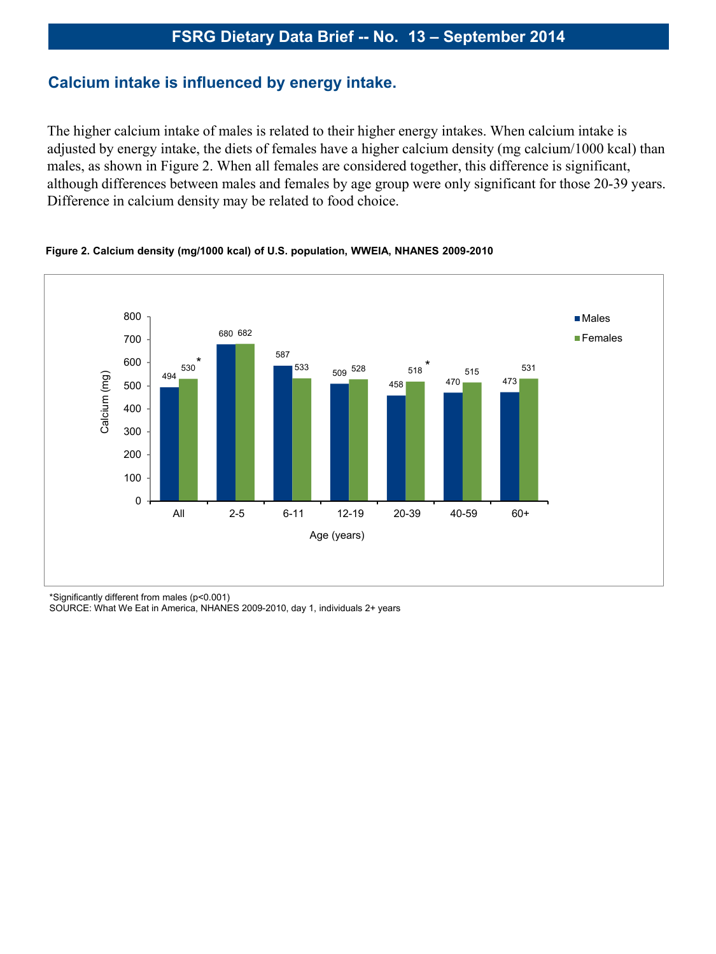### **Calcium intake is influenced by energy intake.**

The higher calcium intake of males is related to their higher energy intakes. When calcium intake is adjusted by energy intake, the diets of females have a higher calcium density (mg calcium/1000 kcal) than males, as shown in Figure 2. When all females are considered together, this difference is significant, although differences between males and females by age group were only significant for those 20-39 years. Difference in calcium density may be related to food choice.



#### **Figure 2. Calcium density (mg/1000 kcal) of U.S. population, WWEIA, NHANES 2009-2010**

\*Significantly different from males (p<0.001)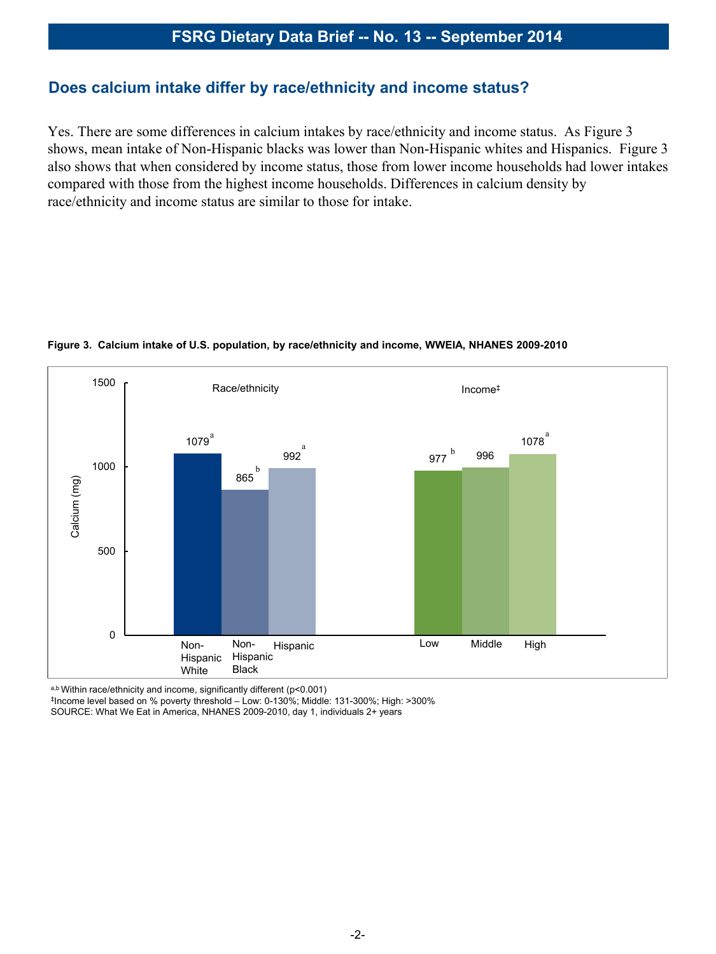### **Does calcium intake differ by race/ethnicity and income status?**

Yes. There are some differences in calcium intakes by race/ethnicity and income status. As Figure 3 shows, mean intake of Non-Hispanic blacks was lower than Non-Hispanic whites and Hispanics. Figure 3 also shows that when considered by income status, those from lower income households had lower intakes compared with those from the highest income households. Differences in calcium density by race/ethnicity and income status are similar to those for intake.



#### **Figure 3. Calcium intake of U.S. population, by race/ethnicity and income, WWEIA, NHANES 2009-2010**

a,b Within race/ethnicity and income, significantly different (p<0.001)

‡Income level based on % poverty threshold – Low: 0-130%; Middle: 131-300%; High: >300% SOURCE: What We Eat in America, NHANES 2009-2010, day 1, individuals 2+ years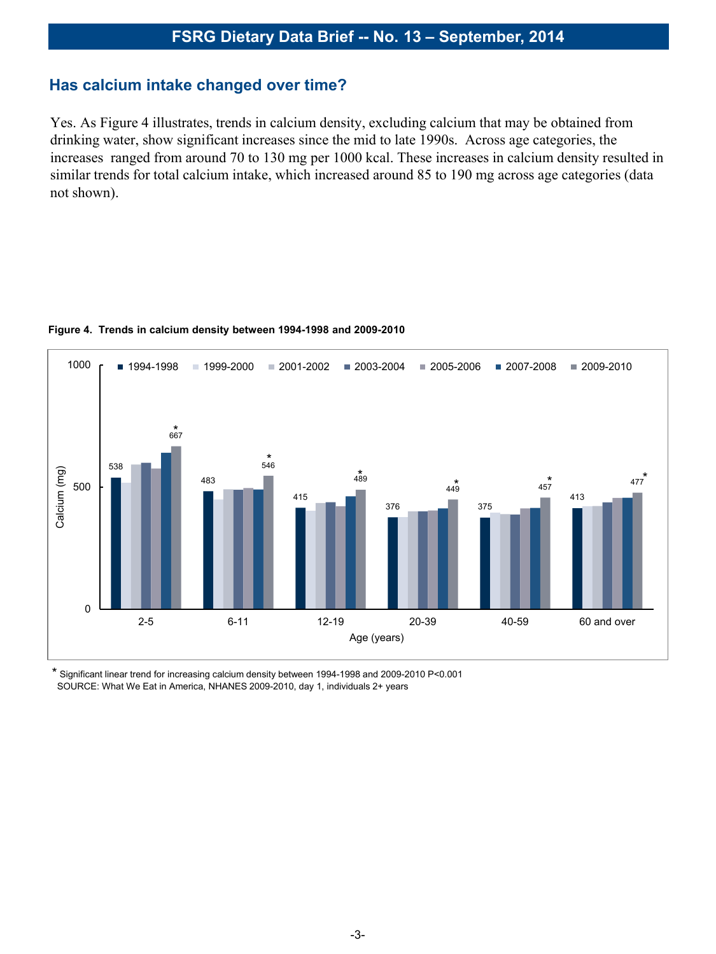### **Has calcium intake changed over time?**

Yes. As Figure 4 illustrates, trends in calcium density, excluding calcium that may be obtained from drinking water, show significant increases since the mid to late 1990s. Across age categories, the increases ranged from around 70 to 130 mg per 1000 kcal. These increases in calcium density resulted in similar trends for total calcium intake, which increased around 85 to 190 mg across age categories (data not shown).



#### **Figure 4. Trends in calcium density between 1994-1998 and 2009-2010**

\* Significant linear trend for increasing calcium density between 1994-1998 and 2009-2010 P<0.001 SOURCE: What We Eat in America, NHANES 2009-2010, day 1, individuals 2+ years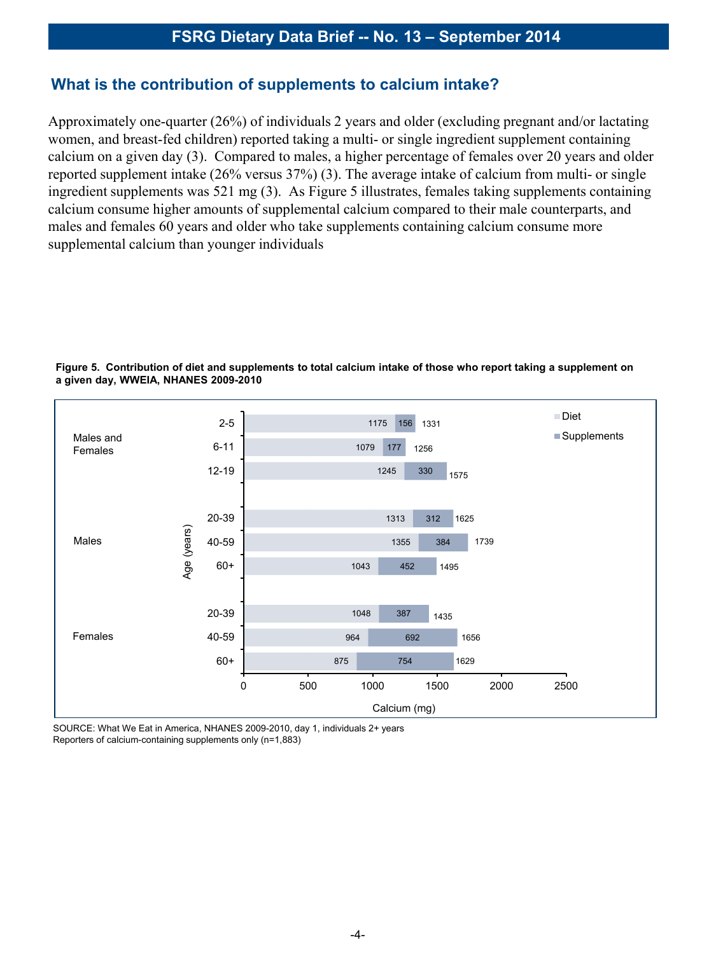### **What is the contribution of supplements to calcium intake?**

Approximately one-quarter (26%) of individuals 2 years and older (excluding pregnant and/or lactating women, and breast-fed children) reported taking a multi- or single ingredient supplement containing calcium on a given day (3). Compared to males, a higher percentage of females over 20 years and older reported supplement intake (26% versus 37%) (3). The average intake of calcium from multi- or single ingredient supplements was 521 mg (3). As Figure 5 illustrates, females taking supplements containing calcium consume higher amounts of supplemental calcium compared to their male counterparts, and males and females 60 years and older who take supplements containing calcium consume more supplemental calcium than younger individuals



**Figure 5. Contribution of diet and supplements to total calcium intake of those who report taking a supplement on a given day, WWEIA, NHANES 2009-2010**

SOURCE: What We Eat in America, NHANES 2009-2010, day 1, individuals 2+ years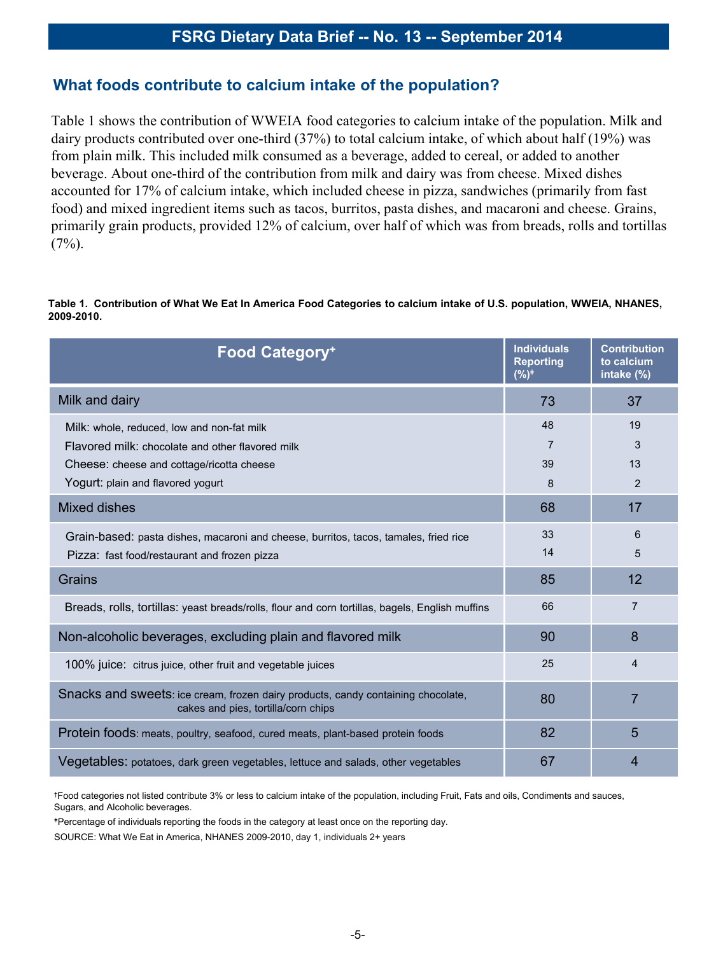### **What foods contribute to calcium intake of the population?**

Table 1 shows the contribution of WWEIA food categories to calcium intake of the population. Milk and dairy products contributed over one-third (37%) to total calcium intake, of which about half (19%) was from plain milk. This included milk consumed as a beverage, added to cereal, or added to another beverage. About one-third of the contribution from milk and dairy was from cheese. Mixed dishes accounted for 17% of calcium intake, which included cheese in pizza, sandwiches (primarily from fast food) and mixed ingredient items such as tacos, burritos, pasta dishes, and macaroni and cheese. Grains, primarily grain products, provided 12% of calcium, over half of which was from breads, rolls and tortillas  $(7\%)$ .

#### **Table 1. Contribution of What We Eat In America Food Categories to calcium intake of U.S. population, WWEIA, NHANES, 2009-2010.**

| <b>Food Category+</b>                                                                                                                | <b>Individuals</b><br><b>Reporting</b><br>$(%)^*$ | <b>Contribution</b><br>to calcium<br>intake (%) |
|--------------------------------------------------------------------------------------------------------------------------------------|---------------------------------------------------|-------------------------------------------------|
| Milk and dairy                                                                                                                       | 73                                                | 37                                              |
| Milk: whole, reduced, low and non-fat milk<br>Flavored milk: chocolate and other flavored milk                                       | 48<br>7                                           | 19<br>3                                         |
| Cheese: cheese and cottage/ricotta cheese<br>Yogurt: plain and flavored yogurt                                                       | 39<br>8                                           | 13<br>2                                         |
| <b>Mixed dishes</b>                                                                                                                  | 68                                                | 17                                              |
| Grain-based: pasta dishes, macaroni and cheese, burritos, tacos, tamales, fried rice<br>Pizza: fast food/restaurant and frozen pizza | 33<br>14                                          | 6<br>5                                          |
| Grains                                                                                                                               | 85                                                | 12                                              |
| Breads, rolls, tortillas: yeast breads/rolls, flour and corn tortillas, bagels, English muffins                                      | 66                                                | $\overline{7}$                                  |
| Non-alcoholic beverages, excluding plain and flavored milk                                                                           | 90                                                | 8                                               |
| 100% juice: citrus juice, other fruit and vegetable juices                                                                           | 25                                                | 4                                               |
| Snacks and sweets: ice cream, frozen dairy products, candy containing chocolate,<br>cakes and pies, tortilla/corn chips              | 80                                                | $\overline{7}$                                  |
| Protein foods: meats, poultry, seafood, cured meats, plant-based protein foods                                                       | 82                                                | 5                                               |
| Vegetables: potatoes, dark green vegetables, lettuce and salads, other vegetables                                                    | 67                                                | 4                                               |

†Food categories not listed contribute 3% or less to calcium intake of the population, including Fruit, Fats and oils, Condiments and sauces, Sugars, and Alcoholic beverages.

<sup>ǂ</sup>Percentage of individuals reporting the foods in the category at least once on the reporting day.

SOURCE: What We Eat in America, NHANES 2009-2010, day 1, individuals 2+ years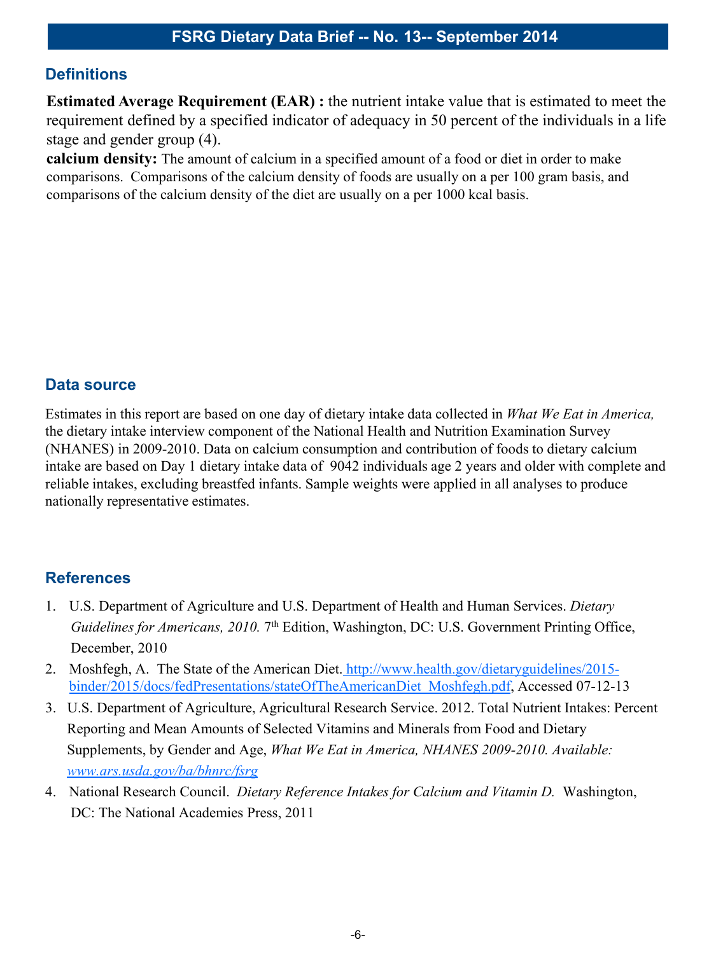## **Definitions**

**Estimated Average Requirement (EAR) :** the nutrient intake value that is estimated to meet the requirement defined by a specified indicator of adequacy in 50 percent of the individuals in a life stage and gender group (4).

**calcium density:** The amount of calcium in a specified amount of a food or diet in order to make comparisons. Comparisons of the calcium density of foods are usually on a per 100 gram basis, and comparisons of the calcium density of the diet are usually on a per 1000 kcal basis.

### **Data source**

Estimates in this report are based on one day of dietary intake data collected in *What We Eat in America,*  the dietary intake interview component of the National Health and Nutrition Examination Survey (NHANES) in 2009-2010. Data on calcium consumption and contribution of foods to dietary calcium intake are based on Day 1 dietary intake data of 9042 individuals age 2 years and older with complete and reliable intakes, excluding breastfed infants. Sample weights were applied in all analyses to produce nationally representative estimates.

# **References**

- 1. U.S. Department of Agriculture and U.S. Department of Health and Human Services. *Dietary Guidelines for Americans, 2010.* 7<sup>th</sup> Edition, Washington, DC: U.S. Government Printing Office, December, 2010
- 2. Moshfegh, A. The State of the American Diet. http://www.health.gov/dietaryguidelines/2015binder/2015/docs/fedPresentations/stateOfTheAmericanDiet\_Moshfegh.pdf, Accessed 07-12-13
- 3. U.S. Department of Agriculture, Agricultural Research Service. 2012. Total Nutrient Intakes: Percent Reporting and Mean Amounts of Selected Vitamins and Minerals from Food and Dietary Supplements, by Gender and Age, *What We Eat in America, NHANES 2009-2010. Available: www.ars.usda.gov/ba/bhnrc/fsrg*
- 4. National Research Council. *Dietary Reference Intakes for Calcium and Vitamin D.* Washington, DC: The National Academies Press, 2011